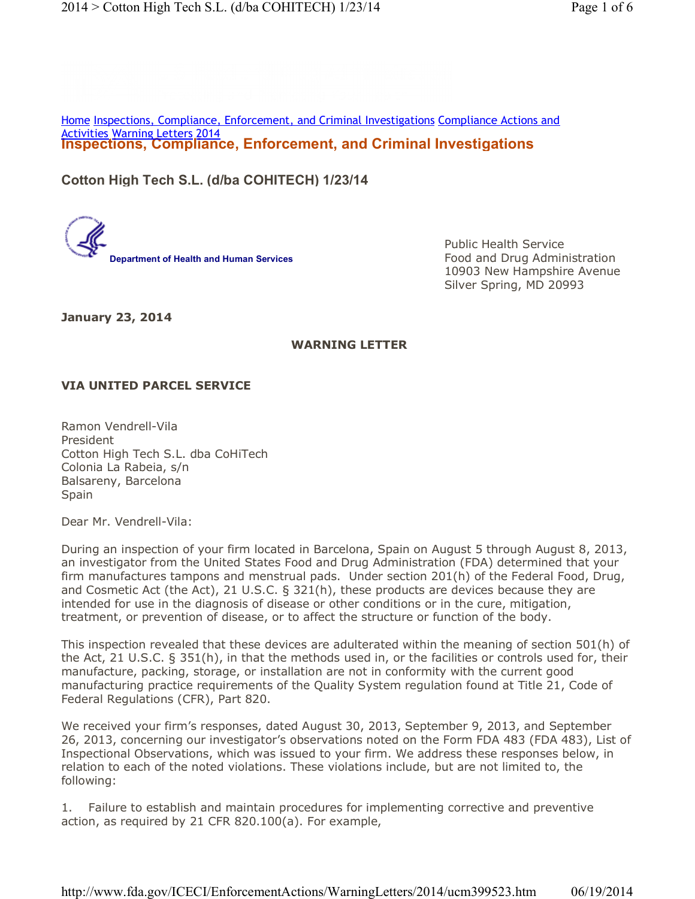**Inspections, Compliance, Enforcement, and Criminal Investigations** Home Inspections, Compliance, Enforcement, and Criminal Investigations Compliance Actions and Activities Warning Letters 2014

**Cotton High Tech S.L. (d/ba COHITECH) 1/23/14**

**Department of Health and Human Services**

Public Health Service Food and Drug Administration 10903 New Hampshire Avenue Silver Spring, MD 20993

**January 23, 2014**

## **WARNING LETTER**

## **VIA UNITED PARCEL SERVICE**

Ramon Vendrell-Vila President Cotton High Tech S.L. dba CoHiTech Colonia La Rabeia, s/n Balsareny, Barcelona Spain

Dear Mr. Vendrell-Vila:

During an inspection of your firm located in Barcelona, Spain on August 5 through August 8, 2013, an investigator from the United States Food and Drug Administration (FDA) determined that your firm manufactures tampons and menstrual pads. Under section 201(h) of the Federal Food, Drug, and Cosmetic Act (the Act), 21 U.S.C. § 321(h), these products are devices because they are intended for use in the diagnosis of disease or other conditions or in the cure, mitigation, treatment, or prevention of disease, or to affect the structure or function of the body.

This inspection revealed that these devices are adulterated within the meaning of section 501(h) of the Act, 21 U.S.C. § 351(h), in that the methods used in, or the facilities or controls used for, their manufacture, packing, storage, or installation are not in conformity with the current good manufacturing practice requirements of the Quality System regulation found at Title 21, Code of Federal Regulations (CFR), Part 820.

We received your firm's responses, dated August 30, 2013, September 9, 2013, and September 26, 2013, concerning our investigator's observations noted on the Form FDA 483 (FDA 483), List of Inspectional Observations, which was issued to your firm. We address these responses below, in relation to each of the noted violations. These violations include, but are not limited to, the following:

1. Failure to establish and maintain procedures for implementing corrective and preventive action, as required by 21 CFR 820.100(a). For example,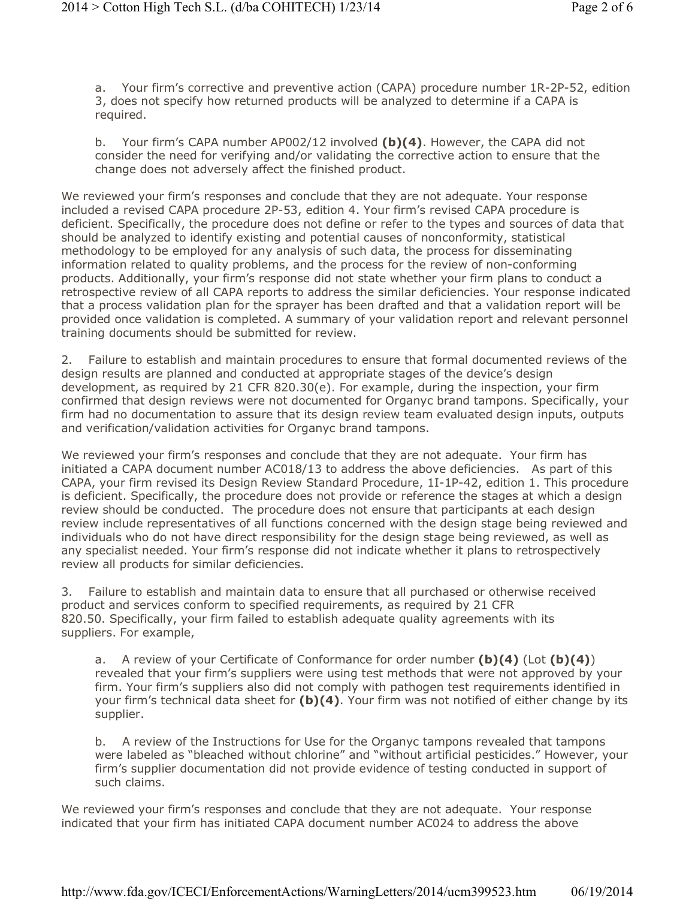a. Your firm's corrective and preventive action (CAPA) procedure number 1R-2P-52, edition 3, does not specify how returned products will be analyzed to determine if a CAPA is required.

b. Your firm's CAPA number AP002/12 involved **(b)(4)**. However, the CAPA did not consider the need for verifying and/or validating the corrective action to ensure that the change does not adversely affect the finished product.

We reviewed your firm's responses and conclude that they are not adequate. Your response included a revised CAPA procedure 2P-53, edition 4. Your firm's revised CAPA procedure is deficient. Specifically, the procedure does not define or refer to the types and sources of data that should be analyzed to identify existing and potential causes of nonconformity, statistical methodology to be employed for any analysis of such data, the process for disseminating information related to quality problems, and the process for the review of non-conforming products. Additionally, your firm's response did not state whether your firm plans to conduct a retrospective review of all CAPA reports to address the similar deficiencies. Your response indicated that a process validation plan for the sprayer has been drafted and that a validation report will be provided once validation is completed. A summary of your validation report and relevant personnel training documents should be submitted for review.

2. Failure to establish and maintain procedures to ensure that formal documented reviews of the design results are planned and conducted at appropriate stages of the device's design development, as required by 21 CFR 820.30(e). For example, during the inspection, your firm confirmed that design reviews were not documented for Organyc brand tampons. Specifically, your firm had no documentation to assure that its design review team evaluated design inputs, outputs and verification/validation activities for Organyc brand tampons.

We reviewed your firm's responses and conclude that they are not adequate. Your firm has initiated a CAPA document number AC018/13 to address the above deficiencies. As part of this CAPA, your firm revised its Design Review Standard Procedure, 1I-1P-42, edition 1. This procedure is deficient. Specifically, the procedure does not provide or reference the stages at which a design review should be conducted. The procedure does not ensure that participants at each design review include representatives of all functions concerned with the design stage being reviewed and individuals who do not have direct responsibility for the design stage being reviewed, as well as any specialist needed. Your firm's response did not indicate whether it plans to retrospectively review all products for similar deficiencies.

3. Failure to establish and maintain data to ensure that all purchased or otherwise received product and services conform to specified requirements, as required by 21 CFR 820.50. Specifically, your firm failed to establish adequate quality agreements with its suppliers. For example,

a. A review of your Certificate of Conformance for order number **(b)(4)** (Lot **(b)(4)**) revealed that your firm's suppliers were using test methods that were not approved by your firm. Your firm's suppliers also did not comply with pathogen test requirements identified in your firm's technical data sheet for **(b)(4)**. Your firm was not notified of either change by its supplier.

b. A review of the Instructions for Use for the Organyc tampons revealed that tampons were labeled as "bleached without chlorine" and "without artificial pesticides." However, your firm's supplier documentation did not provide evidence of testing conducted in support of such claims.

We reviewed your firm's responses and conclude that they are not adequate. Your response indicated that your firm has initiated CAPA document number AC024 to address the above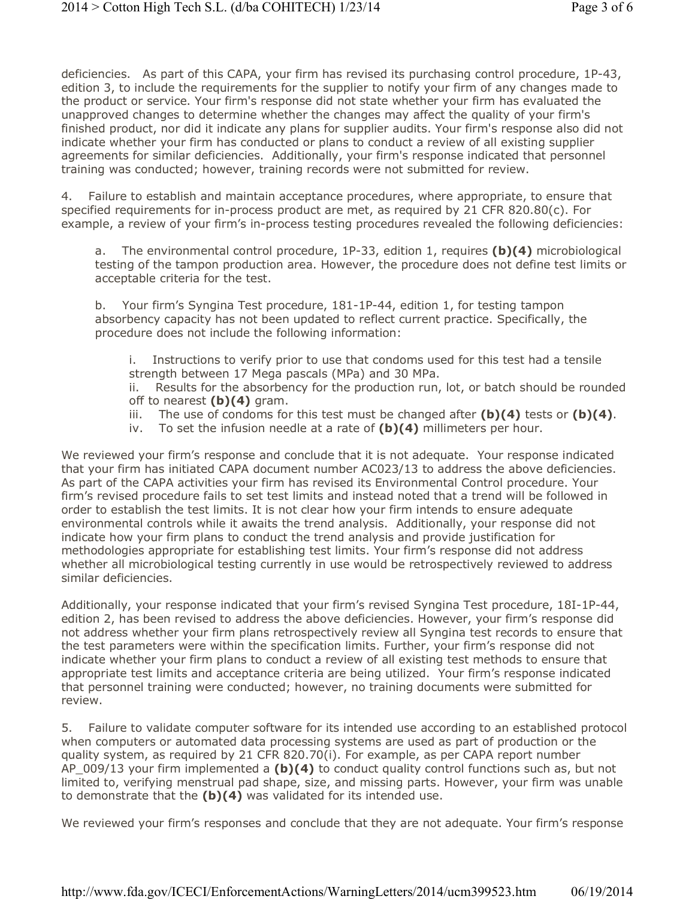deficiencies. As part of this CAPA, your firm has revised its purchasing control procedure, 1P-43, edition 3, to include the requirements for the supplier to notify your firm of any changes made to the product or service. Your firm's response did not state whether your firm has evaluated the unapproved changes to determine whether the changes may affect the quality of your firm's finished product, nor did it indicate any plans for supplier audits. Your firm's response also did not indicate whether your firm has conducted or plans to conduct a review of all existing supplier agreements for similar deficiencies. Additionally, your firm's response indicated that personnel training was conducted; however, training records were not submitted for review.

4. Failure to establish and maintain acceptance procedures, where appropriate, to ensure that specified requirements for in-process product are met, as required by 21 CFR 820.80(c). For example, a review of your firm's in-process testing procedures revealed the following deficiencies:

a. The environmental control procedure, 1P-33, edition 1, requires **(b)(4)** microbiological testing of the tampon production area. However, the procedure does not define test limits or acceptable criteria for the test.

b. Your firm's Syngina Test procedure, 181-1P-44, edition 1, for testing tampon absorbency capacity has not been updated to reflect current practice. Specifically, the procedure does not include the following information:

i. Instructions to verify prior to use that condoms used for this test had a tensile strength between 17 Mega pascals (MPa) and 30 MPa.

ii. Results for the absorbency for the production run, lot, or batch should be rounded off to nearest **(b)(4)** gram.

- iii. The use of condoms for this test must be changed after **(b)(4)** tests or **(b)(4)**.
- iv. To set the infusion needle at a rate of **(b)(4)** millimeters per hour.

We reviewed your firm's response and conclude that it is not adequate. Your response indicated that your firm has initiated CAPA document number AC023/13 to address the above deficiencies. As part of the CAPA activities your firm has revised its Environmental Control procedure. Your firm's revised procedure fails to set test limits and instead noted that a trend will be followed in order to establish the test limits. It is not clear how your firm intends to ensure adequate environmental controls while it awaits the trend analysis. Additionally, your response did not indicate how your firm plans to conduct the trend analysis and provide justification for methodologies appropriate for establishing test limits. Your firm's response did not address whether all microbiological testing currently in use would be retrospectively reviewed to address similar deficiencies.

Additionally, your response indicated that your firm's revised Syngina Test procedure, 18I-1P-44, edition 2, has been revised to address the above deficiencies. However, your firm's response did not address whether your firm plans retrospectively review all Syngina test records to ensure that the test parameters were within the specification limits. Further, your firm's response did not indicate whether your firm plans to conduct a review of all existing test methods to ensure that appropriate test limits and acceptance criteria are being utilized. Your firm's response indicated that personnel training were conducted; however, no training documents were submitted for review.

5. Failure to validate computer software for its intended use according to an established protocol when computers or automated data processing systems are used as part of production or the quality system, as required by 21 CFR 820.70(i). For example, as per CAPA report number AP 009/13 your firm implemented a **(b)(4)** to conduct quality control functions such as, but not limited to, verifying menstrual pad shape, size, and missing parts. However, your firm was unable to demonstrate that the **(b)(4)** was validated for its intended use.

We reviewed your firm's responses and conclude that they are not adequate. Your firm's response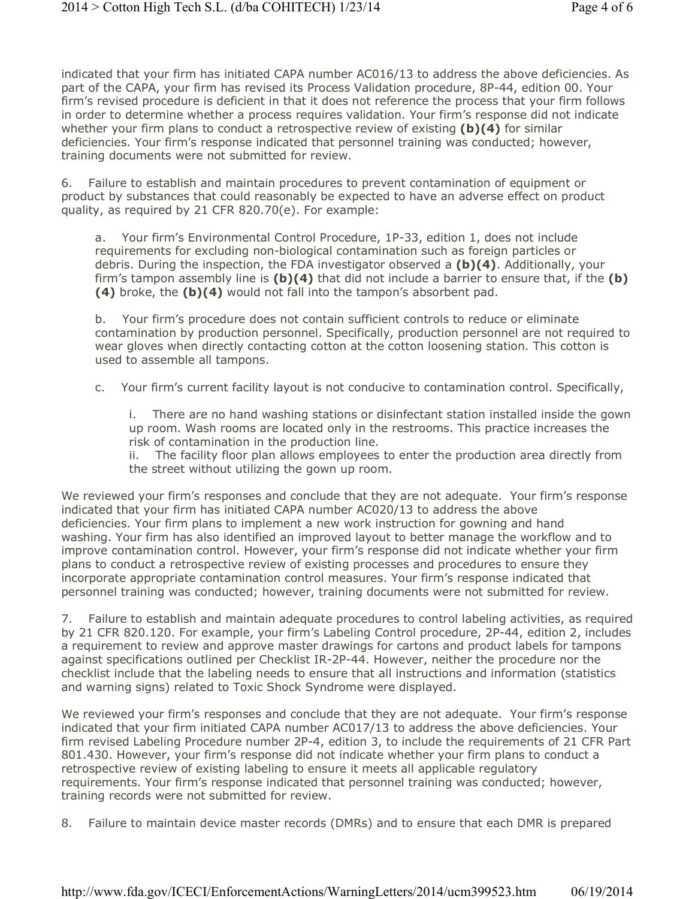indicated that your firm has initiated CAPA number AC016/13 to address the above deficiencies. As part of the CAPA, your firm has revised its Process Validation procedure, 8P-44, edition 00. Your firm's revised procedure is deficient in that it does not reference the process that your firm follows in order to determine whether a process requires validation. Your firm's response did not indicate whether your firm plans to conduct a retrospective review of existing **(b)(4)** for similar deficiencies. Your firm's response indicated that personnel training was conducted; however, training documents were not submitted for review.

6. Failure to establish and maintain procedures to prevent contamination of equipment or product by substances that could reasonably be expected to have an adverse effect on product quality, as required by 21 CFR 820.70(e). For example:

a. Your firm's Environmental Control Procedure, 1P-33, edition 1, does not include requirements for excluding non-biological contamination such as foreign particles or debris. During the inspection, the FDA investigator observed a **(b)(4)**. Additionally, your firm's tampon assembly line is **(b)(4)** that did not include a barrier to ensure that, if the **(b) (4)** broke, the **(b)(4)** would not fall into the tampon's absorbent pad.

b. Your firm's procedure does not contain sufficient controls to reduce or eliminate contamination by production personnel. Specifically, production personnel are not required to wear gloves when directly contacting cotton at the cotton loosening station. This cotton is used to assemble all tampons.

c. Your firm's current facility layout is not conducive to contamination control. Specifically,

i. There are no hand washing stations or disinfectant station installed inside the gown up room. Wash rooms are located only in the restrooms. This practice increases the risk of contamination in the production line.

ii. The facility floor plan allows employees to enter the production area directly from the street without utilizing the gown up room.

We reviewed your firm's responses and conclude that they are not adequate. Your firm's response indicated that your firm has initiated CAPA number AC020/13 to address the above deficiencies. Your firm plans to implement a new work instruction for gowning and hand washing. Your firm has also identified an improved layout to better manage the workflow and to improve contamination control. However, your firm's response did not indicate whether your firm plans to conduct a retrospective review of existing processes and procedures to ensure they incorporate appropriate contamination control measures. Your firm's response indicated that personnel training was conducted; however, training documents were not submitted for review.

7. Failure to establish and maintain adequate procedures to control labeling activities, as required by 21 CFR 820.120. For example, your firm's Labeling Control procedure, 2P-44, edition 2, includes a requirement to review and approve master drawings for cartons and product labels for tampons against specifications outlined per Checklist IR-2P-44. However, neither the procedure nor the checklist include that the labeling needs to ensure that all instructions and information (statistics and warning signs) related to Toxic Shock Syndrome were displayed.

We reviewed your firm's responses and conclude that they are not adequate. Your firm's response indicated that your firm initiated CAPA number AC017/13 to address the above deficiencies. Your firm revised Labeling Procedure number 2P-4, edition 3, to include the requirements of 21 CFR Part 801.430. However, your firm's response did not indicate whether your firm plans to conduct a retrospective review of existing labeling to ensure it meets all applicable regulatory requirements. Your firm's response indicated that personnel training was conducted; however, training records were not submitted for review.

8. Failure to maintain device master records (DMRs) and to ensure that each DMR is prepared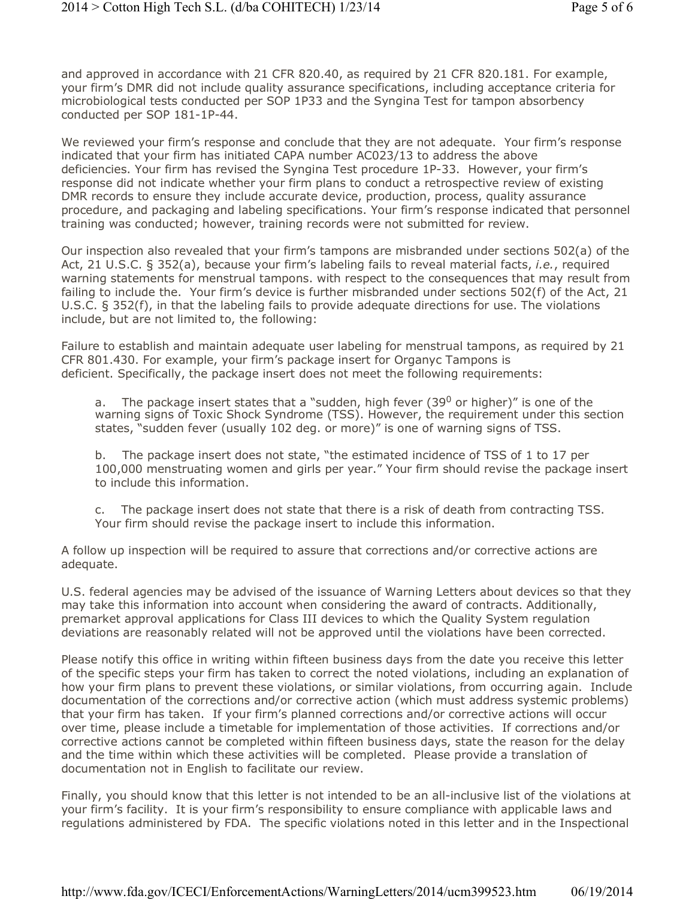and approved in accordance with 21 CFR 820.40, as required by 21 CFR 820.181. For example, your firm's DMR did not include quality assurance specifications, including acceptance criteria for microbiological tests conducted per SOP 1P33 and the Syngina Test for tampon absorbency conducted per SOP 181-1P-44.

We reviewed your firm's response and conclude that they are not adequate. Your firm's response indicated that your firm has initiated CAPA number AC023/13 to address the above deficiencies. Your firm has revised the Syngina Test procedure 1P-33. However, your firm's response did not indicate whether your firm plans to conduct a retrospective review of existing DMR records to ensure they include accurate device, production, process, quality assurance procedure, and packaging and labeling specifications. Your firm's response indicated that personnel training was conducted; however, training records were not submitted for review.

Our inspection also revealed that your firm's tampons are misbranded under sections 502(a) of the Act, 21 U.S.C. § 352(a), because your firm's labeling fails to reveal material facts, *i.e.*, required warning statements for menstrual tampons. with respect to the consequences that may result from failing to include the. Your firm's device is further misbranded under sections 502(f) of the Act, 21 U.S.C. § 352(f), in that the labeling fails to provide adequate directions for use. The violations include, but are not limited to, the following:

Failure to establish and maintain adequate user labeling for menstrual tampons, as required by 21 CFR 801.430. For example, your firm's package insert for Organyc Tampons is deficient. Specifically, the package insert does not meet the following requirements:

a. The package insert states that a "sudden, high fever (39 $^0$  or higher)" is one of the warning signs of Toxic Shock Syndrome (TSS). However, the requirement under this section states, "sudden fever (usually 102 deg. or more)" is one of warning signs of TSS.

b. The package insert does not state, "the estimated incidence of TSS of 1 to 17 per 100,000 menstruating women and girls per year." Your firm should revise the package insert to include this information.

c. The package insert does not state that there is a risk of death from contracting TSS. Your firm should revise the package insert to include this information.

A follow up inspection will be required to assure that corrections and/or corrective actions are adequate.

U.S. federal agencies may be advised of the issuance of Warning Letters about devices so that they may take this information into account when considering the award of contracts. Additionally, premarket approval applications for Class III devices to which the Quality System regulation deviations are reasonably related will not be approved until the violations have been corrected.

Please notify this office in writing within fifteen business days from the date you receive this letter of the specific steps your firm has taken to correct the noted violations, including an explanation of how your firm plans to prevent these violations, or similar violations, from occurring again. Include documentation of the corrections and/or corrective action (which must address systemic problems) that your firm has taken. If your firm's planned corrections and/or corrective actions will occur over time, please include a timetable for implementation of those activities. If corrections and/or corrective actions cannot be completed within fifteen business days, state the reason for the delay and the time within which these activities will be completed. Please provide a translation of documentation not in English to facilitate our review.

Finally, you should know that this letter is not intended to be an all-inclusive list of the violations at your firm's facility. It is your firm's responsibility to ensure compliance with applicable laws and regulations administered by FDA. The specific violations noted in this letter and in the Inspectional